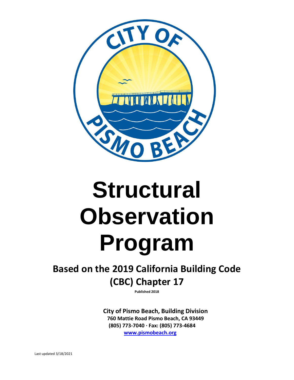

# **Structural Observation Program**

# **Based on the 2019 California Building Code (CBC) Chapter 17**

**Published 2018**

**City of Pismo Beach, Building Division 760 Mattie Road Pismo Beach, CA 93449 (805) 773-7040 · Fax: (805) 773-4684 [www.pismobeach.org](http://www.pismobeach.org/)**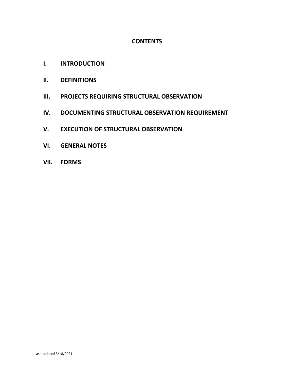# **CONTENTS**

- **I. INTRODUCTION**
- **II. DEFINITIONS**
- **III. PROJECTS REQUIRING STRUCTURAL OBSERVATION**
- **IV. DOCUMENTING STRUCTURAL OBSERVATION REQUIREMENT**
- **V. EXECUTION OF STRUCTURAL OBSERVATION**
- **VI. GENERAL NOTES**
- **VII. FORMS**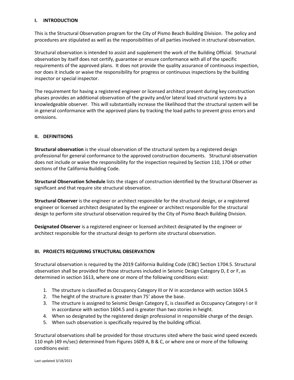#### **I. INTRODUCTION**

This is the Structural Observation program for the City of Pismo Beach Building Division. The policy and procedures are stipulated as well as the responsibilities of all parties involved in structural observation.

Structural observation is intended to assist and supplement the work of the Building Official. Structural observation by itself does not certify, guarantee or ensure conformance with all of the specific requirements of the approved plans. It does not provide the quality assurance of continuous inspection, nor does it include or waive the responsibility for progress or continuous inspections by the building inspector or special inspector.

The requirement for having a registered engineer or licensed architect present during key construction phases provides an additional observation of the gravity and/or lateral load structural systems by a knowledgeable observer. This will substantially increase the likelihood that the structural system will be in general conformance with the approved plans by tracking the load paths to prevent gross errors and omissions.

#### **II. DEFINITIIONS**

**Structural observation** is the visual observation of the structural system by a registered design professional for general conformance to the approved construction documents. Structural observation does not include or waive the responsibility for the inspection required by Section 110, 1704 or other sections of the California Building Code.

**Structural Observation Schedule** lists the stages of construction identified by the Structural Observer as significant and that require site structural observation.

**Structural Observer** is the engineer or architect responsible for the structural design, or a registered engineer or licensed architect designated by the engineer or architect responsible for the structural design to perform site structural observation required by the City of Pismo Beach Building Division.

**Designated Observer** is a registered engineer or licensed architect designated by the engineer or architect responsible for the structural design to perform site structural observation.

#### **III. PROJECTS REQUIRING STRUCTURAL OBSERVATION**

Structural observation is required by the 2019 California Building Code (CBC) Section 1704.5. Structural observation shall be provided for those structures included in Seismic Design Category D, E or F, as determined in section 1613, where one or more of the following conditions exist:

- 1. The structure is classified as Occupancy Category III or IV in accordance with section 1604.5
- 2. The height of the structure is greater than 75' above the base.
- 3. The structure is assigned to Seismic Design Category E, is classified as Occupancy Category I or II in accordance with section 1604.5 and is greater than two stories in height.
- 4. When so designated by the registered design professional in responsible charge of the design.
- 5. When such observation is specifically required by the building official.

Structural observations shall be provided for those structures sited where the basic wind speed exceeds 110 mph (49 m/sec) determined from Figures 1609 A, B & C, or where one or more of the following conditions exist: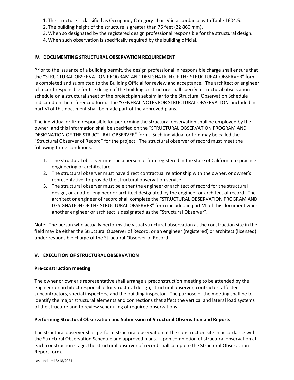- 1. The structure is classified as Occupancy Category III or IV in accordance with Table 1604.5.
- 2. The building height of the structure is greater than 75 feet (22 860 mm).
- 3. When so designated by the registered design professional responsible for the structural design.
- 4. When such observation is specifically required by the building official.

#### **IV. DOCUMENTING STRUCTURAL OBSERVATION REQUIREMENT**

Prior to the issuance of a building permit, the design professional in responsible charge shall ensure that the "STRUCTURAL OBSERVATION PROGRAM AND DESIGNATION OF THE STRUCTURAL OBSERVER" form is completed and submitted to the Building Official for review and acceptance. The architect or engineer of record responsible for the design of the building or structure shall specify a structural observation schedule on a structural sheet of the project plan set similar to the Structural Observation Schedule indicated on the referenced form. The "GENERAL NOTES FOR STRUCTURAL OBSERVATION" included in part VI of this document shall be made part of the approved plans.

The individual or firm responsible for performing the structural observation shall be employed by the owner, and this information shall be specified on the "STRUCTURAL OBSERVATION PROGRAM AND DESIGNATION OF THE STRUCTURAL OBSERVER" form. Such individual or firm may be called the "Structural Observer of Record" for the project. The structural observer of record must meet the following three conditions:

- 1. The structural observer must be a person or firm registered in the state of California to practice engineering or architecture.
- 2. The structural observer must have direct contractual relationship with the owner, or owner's representative, to provide the structural observation service.
- 3. The structural observer must be either the engineer or architect of record for the structural design, or another engineer or architect designated by the engineer or architect of record. The architect or engineer of record shall complete the "STRUCTURAL OBSERVATION PROGRAM AND DESIGNATION OF THE STRUCTURAL OBSERVER" form included in part VII of this document when another engineer or architect is designated as the "Structural Observer".

Note: The person who actually performs the visual structural observation at the construction site in the field may be either the Structural Observer of Record, or an engineer (registered) or architect (licensed) under responsible charge of the Structural Observer of Record.

#### **V. EXECUTION OF STRUCTURAL OBSERVATION**

#### **Pre-construction meeting**

The owner or owner's representative shall arrange a preconstruction meeting to be attended by the engineer or architect responsible for structural design, structural observer, contractor, affected subcontractors, special inspectors, and the building inspector. The purpose of the meeting shall be to identify the major structural elements and connections that affect the vertical and lateral load systems of the structure and to review scheduling of required observations.

#### **Performing Structural Observation and Submission of Structural Observation and Reports**

The structural observer shall perform structural observation at the construction site in accordance with the Structural Observation Schedule and approved plans. Upon completion of structural observation at each construction stage, the structural observer of record shall complete the Structural Observation Report form.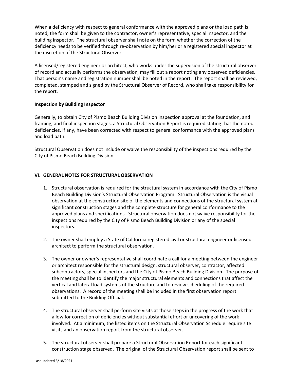When a deficiency with respect to general conformance with the approved plans or the load path is noted, the form shall be given to the contractor, owner's representative, special inspector, and the building inspector. The structural observer shall note on the form whether the correction of the deficiency needs to be verified through re-observation by him/her or a registered special inspector at the discretion of the Structural Observer.

A licensed/registered engineer or architect, who works under the supervision of the structural observer of record and actually performs the observation, may fill out a report noting any observed deficiencies. That person's name and registration number shall be noted in the report. The report shall be reviewed, completed, stamped and signed by the Structural Observer of Record, who shall take responsibility for the report.

## **Inspection by Building Inspector**

Generally, to obtain City of Pismo Beach Building Division inspection approval at the foundation, and framing, and final inspection stages, a Structural Observation Report is required stating that the noted deficiencies, if any, have been corrected with respect to general conformance with the approved plans and load path.

Structural Observation does not include or waive the responsibility of the inspections required by the City of Pismo Beach Building Division.

## **VI. GENERAL NOTES FOR STRUCTURAL OBSERVATION**

- 1. Structural observation is required for the structural system in accordance with the City of Pismo Beach Building Division's Structural Observation Program. Structural Observation is the visual observation at the construction site of the elements and connections of the structural system at significant construction stages and the complete structure for general conformance to the approved plans and specifications. Structural observation does not waive responsibility for the inspections required by the City of Pismo Beach Building Division or any of the special inspectors.
- 2. The owner shall employ a State of California registered civil or structural engineer or licensed architect to perform the structural observation.
- 3. The owner or owner's representative shall coordinate a call for a meeting between the engineer or architect responsible for the structural design, structural observer, contractor, affected subcontractors, special inspectors and the City of Pismo Beach Building Division. The purpose of the meeting shall be to identify the major structural elements and connections that affect the vertical and lateral load systems of the structure and to review scheduling of the required observations. A record of the meeting shall be included in the first observation report submitted to the Building Official.
- 4. The structural observer shall perform site visits at those steps in the progress of the work that allow for correction of deficiencies without substantial effort or uncovering of the work involved. At a minimum, the listed items on the Structural Observation Schedule require site visits and an observation report from the structural observer.
- 5. The structural observer shall prepare a Structural Observation Report for each significant construction stage observed. The original of the Structural Observation report shall be sent to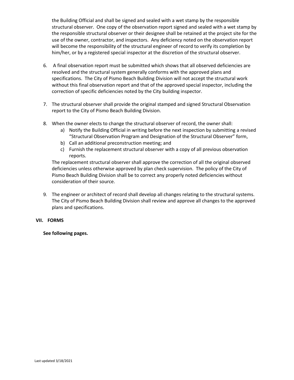the Building Official and shall be signed and sealed with a wet stamp by the responsible structural observer. One copy of the observation report signed and sealed with a wet stamp by the responsible structural observer or their designee shall be retained at the project site for the use of the owner, contractor, and inspectors. Any deficiency noted on the observation report will become the responsibility of the structural engineer of record to verify its completion by him/her, or by a registered special inspector at the discretion of the structural observer.

- 6. A final observation report must be submitted which shows that all observed deficiencies are resolved and the structural system generally conforms with the approved plans and specifications. The City of Pismo Beach Building Division will not accept the structural work without this final observation report and that of the approved special inspector, including the correction of specific deficiencies noted by the City building inspector.
- 7. The structural observer shall provide the original stamped and signed Structural Observation report to the City of Pismo Beach Building Division.
- 8. When the owner elects to change the structural observer of record, the owner shall:
	- a) Notify the Building Official in writing before the next inspection by submitting a revised "Structural Observation Program and Designation of the Structural Observer" form,
	- b) Call an additional preconstruction meeting; and
	- c) Furnish the replacement structural observer with a copy of all previous observation reports.

The replacement structural observer shall approve the correction of all the original observed deficiencies unless otherwise approved by plan check supervision. The policy of the City of Pismo Beach Building Division shall be to correct any properly noted deficiencies without consideration of their source.

9. The engineer or architect of record shall develop all changes relating to the structural systems. The City of Pismo Beach Building Division shall review and approve all changes to the approved plans and specifications.

# **VII. FORMS**

**See following pages.**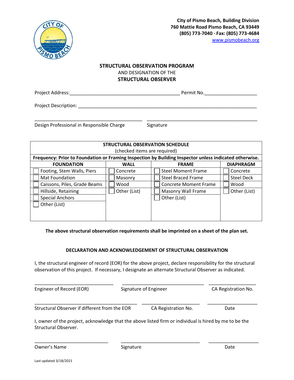

## **STRUCTURAL OBSERVATION PROGRAM**  AND DESIGNATION OF THE **STRUCTURAL OBSERVER**

\_\_\_\_\_\_\_\_\_\_\_\_\_\_\_\_\_\_\_\_\_\_\_\_\_\_\_\_\_\_\_\_\_\_\_\_\_\_\_\_\_ \_\_\_\_\_\_\_\_\_\_\_\_\_\_\_\_\_\_\_\_\_\_\_\_\_\_\_\_\_\_\_\_\_\_\_\_\_\_\_\_\_\_

Project Address: The contract of the contract of the contract of the permit No.

Project Description: **Example 20** For all the set of the set of the set of the set of the set of the set of the set of the set of the set of the set of the set of the set of the set of the set of the set of the set of the

Design Professional in Responsible Charge Signature

| <b>STRUCTURAL OBSERVATION SCHEDULE</b>                                                                 |              |                              |                   |  |  |  |  |  |
|--------------------------------------------------------------------------------------------------------|--------------|------------------------------|-------------------|--|--|--|--|--|
| (checked items are required)                                                                           |              |                              |                   |  |  |  |  |  |
| Frequency: Prior to Foundation or Framing Inspection by Building Inspector unless indicated otherwise. |              |                              |                   |  |  |  |  |  |
| <b>FOUNDATION</b>                                                                                      | <b>WALL</b>  | <b>FRAME</b>                 | <b>DIAPHRAGM</b>  |  |  |  |  |  |
| Footing, Stem Walls, Piers                                                                             | Concrete     | <b>Steel Moment Frame</b>    | Concrete          |  |  |  |  |  |
| <b>Mat Foundation</b>                                                                                  | Masonry      | <b>Steel Braced Frame</b>    | <b>Steel Deck</b> |  |  |  |  |  |
| Caissons, Piles, Grade Beams                                                                           | Wood         | <b>Concrete Moment Frame</b> | Wood              |  |  |  |  |  |
| Hillside, Retaining                                                                                    | Other (List) | Masonry Wall Frame           | Other (List)      |  |  |  |  |  |
| <b>Special Anchors</b>                                                                                 |              | Other (List)                 |                   |  |  |  |  |  |
| Other (List)                                                                                           |              |                              |                   |  |  |  |  |  |
|                                                                                                        |              |                              |                   |  |  |  |  |  |
|                                                                                                        |              |                              |                   |  |  |  |  |  |

#### **The above structural observation requirements shall be imprinted on a sheet of the plan set.**

#### **DECLARATION AND ACKNOWLEDGEMENT OF STRUCTURAL OBSERVATION**

I, the structural engineer of record (EOR) for the above project, declare responsibility for the structural observation of this project. If necessary, I designate an alternate Structural Observer as indicated.

| Engineer of Record (EOR)                      | Signature of Engineer |                     | CA Registration No. |
|-----------------------------------------------|-----------------------|---------------------|---------------------|
| Structural Observer if different from the EOR |                       | CA Registration No. | Date                |

I, owner of the project, acknowledge that the above listed firm or individual is hired by me to be the Structural Observer.

\_\_\_\_\_\_\_\_\_\_\_\_\_\_\_\_\_\_\_\_\_\_\_\_\_\_\_\_ \_\_\_\_\_\_\_\_\_\_\_\_\_\_\_\_\_\_\_\_\_\_\_\_\_\_\_\_\_\_ \_\_\_\_\_\_\_\_\_\_\_\_\_\_\_\_\_\_\_

Owner's Name